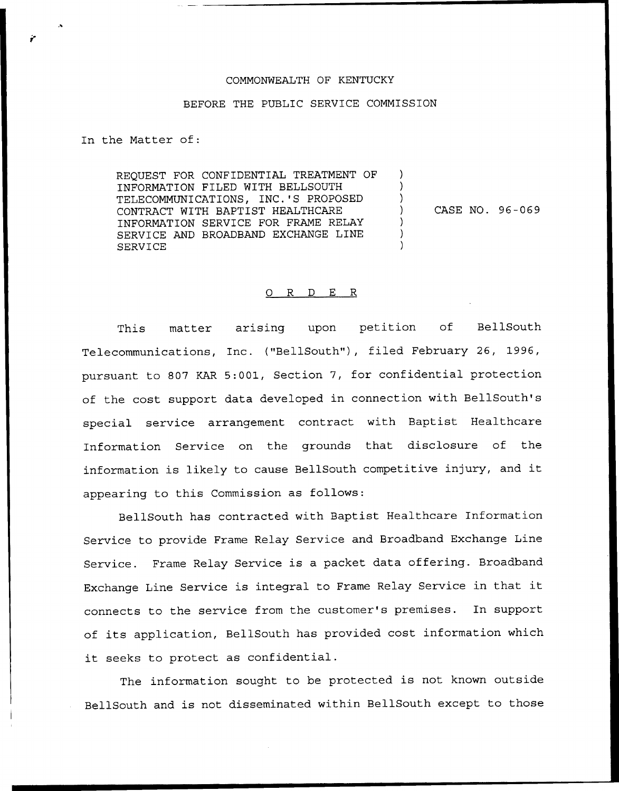## COMMONWEALTH OF KENTUCKY

## BEFORE THE PUBLIC SERVICE COMMISSION

In the Matter of:

REQUEST FOR CONFIDENTIAL TREATMENT OF INFORMATION FILED WITH BELLSOUTH TELECOMMUNICATIONS, INC.'S PROPOSED CONTRACT WITH BAPTIST HEALTHCARE INFORMATION SERVICE FOR FRAME RELAY SERVICE AND BROADBAND EXCHANGE LINE SERVICE

CASE NO. 96-069

 $\lambda$ 

## 0 R <sup>D</sup> E R

This matter arising upon petition of BellSouth Telecommunications, Inc. ("BellSouth"), filed February 26, 1996, pursuant to 807 KAR 5:001, Section 7, for confidential protection of the cost support data developed in connection with BellSouth's special service arrangement contract with Baptist Healthcare Information Service on the grounds that disclosure of the information is likely to cause BellSouth competitive injury, and it appearing to this Commission as follows:

BellSouth has contracted with Baptist Healthcare Information Service to provide Frame Relay Service and Broadband Exchange Line Service. Frame Relay Service is a packet data offering. Broadband Exchange Line Service is integral to Frame Relay Service in that it connects to the service from the customer's premises. In support of its application, BellSouth has provided cost information which it seeks to protect as confidential.

The information sought to be protected is not known outside BellSouth and is not disseminated within BellSouth except to those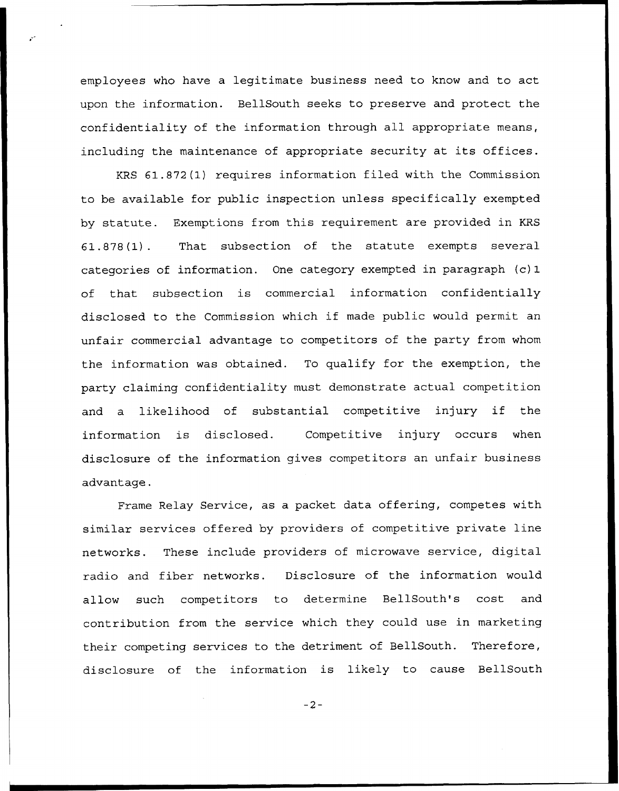employees who have a legitimate business need to know and to act upon the information. BellSouth seeks to preserve and protect the confidentiality of the information through all appropriate means, including the maintenance of appropriate security at its offices.

KRS 61.872(1) requires information filed with the Commission to be available for public inspection unless specifically exempted by statute. Exemptions from this requirement are provided in KRS 61.878(1). That subsection of the statute exempts several categories of information. One category exempted in paragraph (c) 1 of that subsection is commercial information confidentially disclosed to the Commission which if made public would permit an unfair commercial advantage to competitors of the party from whom the information was obtained. To qualify for the exemption, the party claiming confidentiality must demonstrate actual competition and <sup>a</sup> likelihood of substantial competitive injury if the information is disclosed. Competitive injury occurs when disclosure of the information gives competitors an unfair business advantage.

Frame Relay Service, as a packet data offering, competes with similar services offered by providers of competitive private line networks. These include providers of microwave service, digital radio and fiber networks. Disclosure of the information would allow such competitors to determine BellSouth's cost and contribution from the service which they could use in marketing their competing services to the detriment of BellSouth. Therefore, disclosure of the information is likely to cause BellSouth

 $-2-$